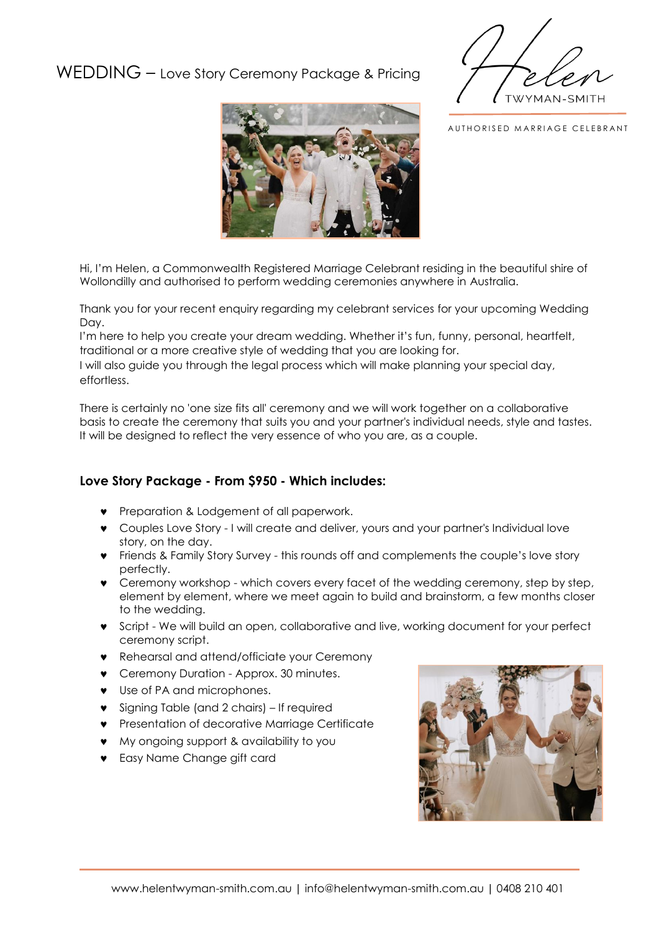## WEDDING – Love Story Ceremony Package & Pricing





AUTHORISED MARRIAGE CELEBRANT

Hi, I'm Helen, a Commonwealth Registered Marriage Celebrant residing in the beautiful shire of Wollondilly and authorised to perform wedding ceremonies anywhere in Australia.

Thank you for your recent enquiry regarding my celebrant services for your upcoming Wedding Day.

I'm here to help you create your dream wedding. Whether it's fun, funny, personal, heartfelt, traditional or a more creative style of wedding that you are looking for.

I will also guide you through the legal process which will make planning your special day, effortless.

There is certainly no 'one size fits all' ceremony and we will work together on a collaborative basis to create the ceremony that suits you and your partner's individual needs, style and tastes. It will be designed to reflect the very essence of who you are, as a couple.

## **Love Story Package - From \$950 - Which includes:**

- **•** Preparation & Lodgement of all paperwork.
- Couples Love Story I will create and deliver, yours and your partner's Individual love story, on the day.
- Friends & Family Story Survey this rounds off and complements the couple's love story perfectly.
- Ceremony workshop which covers every facet of the wedding ceremony, step by step, element by element, where we meet again to build and brainstorm, a few months closer to the wedding.
- Script We will build an open, collaborative and live, working document for your perfect ceremony script.
- Rehearsal and attend/officiate your Ceremony
- **v** Ceremony Duration Approx. 30 minutes.
- **v** Use of PA and microphones.
- **v** Signing Table (and 2 chairs) If required
- **•** Presentation of decorative Marriage Certificate
- My ongoing support & availability to you
- **v** Easy Name Change gift card